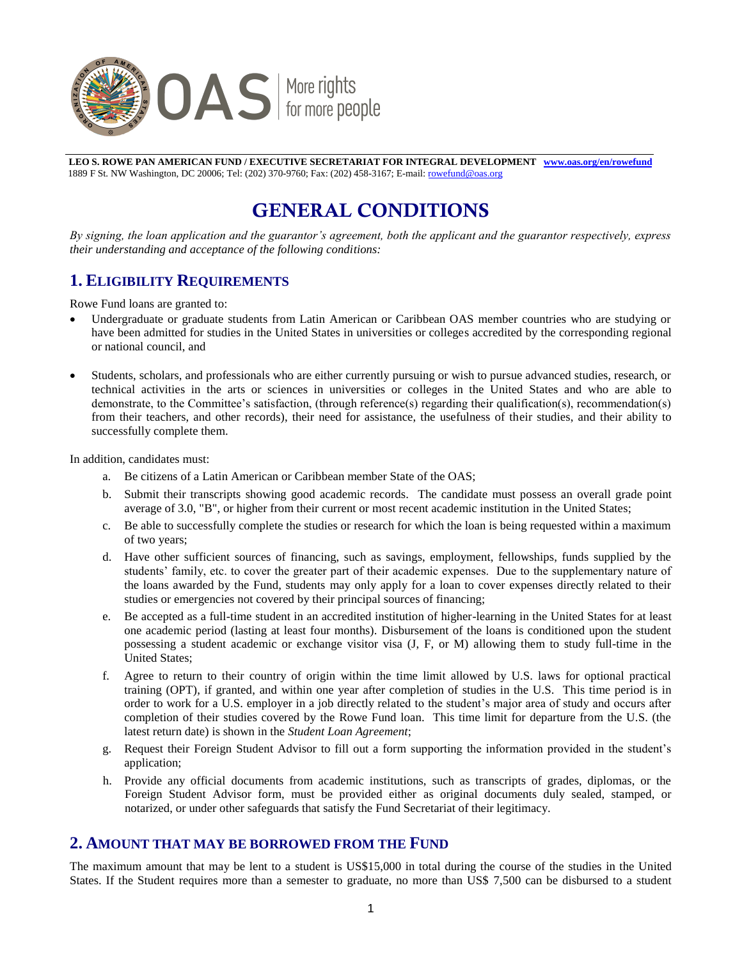

**LEO S. ROWE PAN AMERICAN FUND / EXECUTIVE SECRETARIAT FOR INTEGRAL DEVELOPMENT w[ww.oas.org/en/rowefund](http://www.oas.org/en/rowefund)**  1889 F St. NW Washington, DC 20006; Tel: (202) 370-9760; Fax: (202) 458-3167; E-mail[: rowefund@oas.org](mailto:rowefund@oas.org)

# **GENERAL CONDITIONS**

*By signing, the loan application and the guarantor's agreement, both the applicant and the guarantor respectively, express their understanding and acceptance of the following conditions:* 

### **1. ELIGIBILITY REQUIREMENTS**

Rowe Fund loans are granted to:

- Undergraduate or graduate students from Latin American or Caribbean OAS member countries who are studying or have been admitted for studies in the United States in universities or colleges accredited by the corresponding regional or national council, and
- Students, scholars, and professionals who are either currently pursuing or wish to pursue advanced studies, research, or technical activities in the arts or sciences in universities or colleges in the United States and who are able to demonstrate, to the Committee's satisfaction, (through reference(s) regarding their qualification(s), recommendation(s) from their teachers, and other records), their need for assistance, the usefulness of their studies, and their ability to successfully complete them.

In addition, candidates must:

- a. Be citizens of a Latin American or Caribbean member State of the OAS;
- b. Submit their transcripts showing good academic records. The candidate must possess an overall grade point average of 3.0, "B", or higher from their current or most recent academic institution in the United States;
- c. Be able to successfully complete the studies or research for which the loan is being requested within a maximum of two years;
- d. Have other sufficient sources of financing, such as savings, employment, fellowships, funds supplied by the students' family, etc. to cover the greater part of their academic expenses. Due to the supplementary nature of the loans awarded by the Fund, students may only apply for a loan to cover expenses directly related to their studies or emergencies not covered by their principal sources of financing;
- e. Be accepted as a full-time student in an accredited institution of higher-learning in the United States for at least one academic period (lasting at least four months). Disbursement of the loans is conditioned upon the student possessing a student academic or exchange visitor visa (J, F, or M) allowing them to study full-time in the United States;
- f. Agree to return to their country of origin within the time limit allowed by U.S. laws for optional practical training (OPT), if granted, and within one year after completion of studies in the U.S. This time period is in order to work for a U.S. employer in a job directly related to the student's major area of study and occurs after completion of their studies covered by the Rowe Fund loan. This time limit for departure from the U.S. (the latest return date) is shown in the *Student Loan Agreement*;
- g. Request their Foreign Student Advisor to fill out a form supporting the information provided in the student's application;
- h. Provide any official documents from academic institutions, such as transcripts of grades, diplomas, or the Foreign Student Advisor form, must be provided either as original documents duly sealed, stamped, or notarized, or under other safeguards that satisfy the Fund Secretariat of their legitimacy.

#### **2. AMOUNT THAT MAY BE BORROWED FROM THE FUND**

The maximum amount that may be lent to a student is US\$15,000 in total during the course of the studies in the United States. If the Student requires more than a semester to graduate, no more than US\$ 7,500 can be disbursed to a student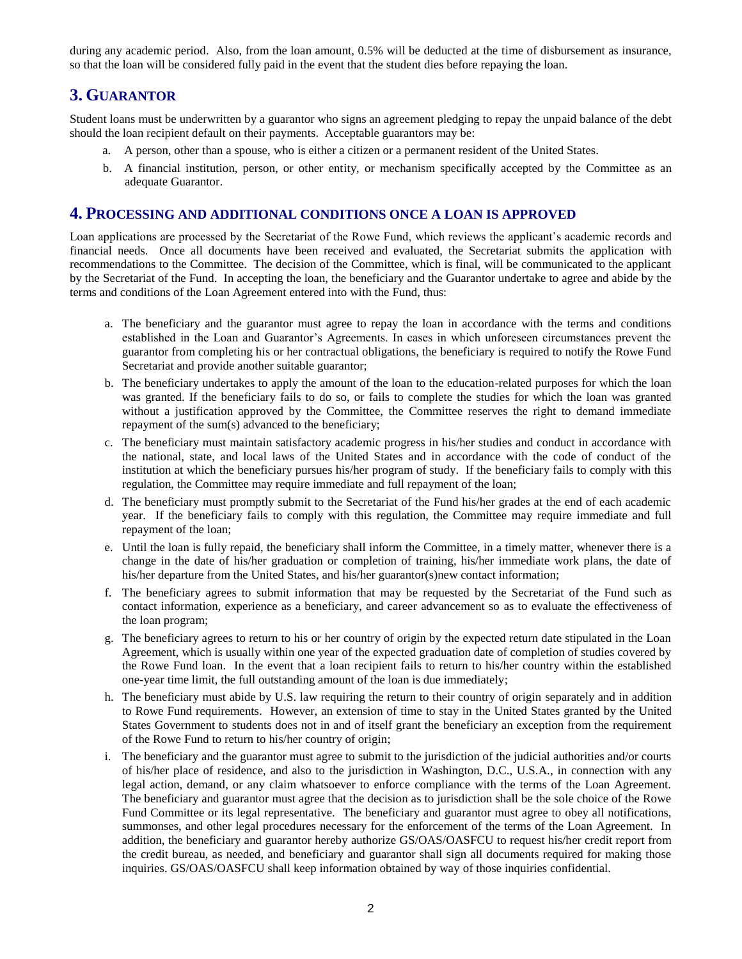during any academic period. Also, from the loan amount, 0.5% will be deducted at the time of disbursement as insurance, so that the loan will be considered fully paid in the event that the student dies before repaying the loan.

## **3. GUARANTOR**

Student loans must be underwritten by a guarantor who signs an agreement pledging to repay the unpaid balance of the debt should the loan recipient default on their payments. Acceptable guarantors may be:

- a. A person, other than a spouse, who is either a citizen or a permanent resident of the United States.
- b. A financial institution, person, or other entity, or mechanism specifically accepted by the Committee as an adequate Guarantor.

#### **4. PROCESSING AND ADDITIONAL CONDITIONS ONCE A LOAN IS APPROVED**

Loan applications are processed by the Secretariat of the Rowe Fund, which reviews the applicant's academic records and financial needs. Once all documents have been received and evaluated, the Secretariat submits the application with recommendations to the Committee. The decision of the Committee, which is final, will be communicated to the applicant by the Secretariat of the Fund. In accepting the loan, the beneficiary and the Guarantor undertake to agree and abide by the terms and conditions of the Loan Agreement entered into with the Fund, thus:

- a. The beneficiary and the guarantor must agree to repay the loan in accordance with the terms and conditions established in the Loan and Guarantor's Agreements. In cases in which unforeseen circumstances prevent the guarantor from completing his or her contractual obligations, the beneficiary is required to notify the Rowe Fund Secretariat and provide another suitable guarantor;
- b. The beneficiary undertakes to apply the amount of the loan to the education-related purposes for which the loan was granted. If the beneficiary fails to do so, or fails to complete the studies for which the loan was granted without a justification approved by the Committee, the Committee reserves the right to demand immediate repayment of the sum(s) advanced to the beneficiary;
- c. The beneficiary must maintain satisfactory academic progress in his/her studies and conduct in accordance with the national, state, and local laws of the United States and in accordance with the code of conduct of the institution at which the beneficiary pursues his/her program of study. If the beneficiary fails to comply with this regulation, the Committee may require immediate and full repayment of the loan;
- d. The beneficiary must promptly submit to the Secretariat of the Fund his/her grades at the end of each academic year. If the beneficiary fails to comply with this regulation, the Committee may require immediate and full repayment of the loan;
- e. Until the loan is fully repaid, the beneficiary shall inform the Committee, in a timely matter, whenever there is a change in the date of his/her graduation or completion of training, his/her immediate work plans, the date of his/her departure from the United States, and his/her guarantor(s)new contact information;
- f. The beneficiary agrees to submit information that may be requested by the Secretariat of the Fund such as contact information, experience as a beneficiary, and career advancement so as to evaluate the effectiveness of the loan program;
- g. The beneficiary agrees to return to his or her country of origin by the expected return date stipulated in the Loan Agreement, which is usually within one year of the expected graduation date of completion of studies covered by the Rowe Fund loan. In the event that a loan recipient fails to return to his/her country within the established one-year time limit, the full outstanding amount of the loan is due immediately;
- h. The beneficiary must abide by U.S. law requiring the return to their country of origin separately and in addition to Rowe Fund requirements. However, an extension of time to stay in the United States granted by the United States Government to students does not in and of itself grant the beneficiary an exception from the requirement of the Rowe Fund to return to his/her country of origin;
- i. The beneficiary and the guarantor must agree to submit to the jurisdiction of the judicial authorities and/or courts of his/her place of residence, and also to the jurisdiction in Washington, D.C., U.S.A., in connection with any legal action, demand, or any claim whatsoever to enforce compliance with the terms of the Loan Agreement. The beneficiary and guarantor must agree that the decision as to jurisdiction shall be the sole choice of the Rowe Fund Committee or its legal representative. The beneficiary and guarantor must agree to obey all notifications, summonses, and other legal procedures necessary for the enforcement of the terms of the Loan Agreement. In addition, the beneficiary and guarantor hereby authorize GS/OAS/OASFCU to request his/her credit report from the credit bureau, as needed, and beneficiary and guarantor shall sign all documents required for making those inquiries. GS/OAS/OASFCU shall keep information obtained by way of those inquiries confidential.